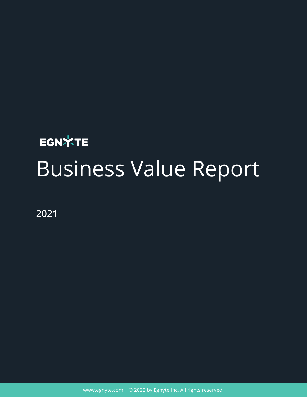# **EGNXTE** Business Value Report

**2021**

[www.egnyte.com](http://www.egnyte.com) | © 2022 by Egnyte Inc. All rights reserved.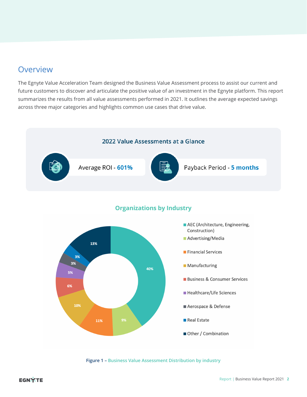## Overview

The Egnyte Value Acceleration Team designed the Business Value Assessment process to assist our current and future customers to discover and articulate the positive value of an investment in the Egnyte platform. This report summarizes the results from all value assessments performed in 2021. It outlines the average expected savings across three major categories and highlights common use cases that drive value.



**Figure 1 – Business Value Assessment Distribution by industry**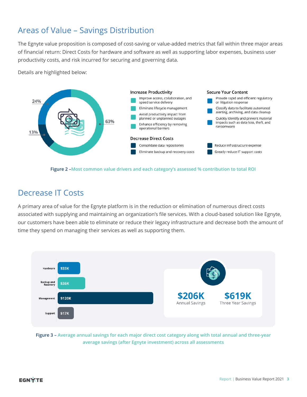# Areas of Value – Savings Distribution

The Egnyte value proposition is composed of cost-saving or value-added metrics that fall within three major areas of financial return: Direct Costs for hardware and software as well as supporting labor expenses, business user productivity costs, and risk incurred for securing and governing data.

Details are highlighted below:





# Decrease IT Costs

A primary area of value for the Egnyte platform is in the reduction or elimination of numerous direct costs associated with supplying and maintaining an organization's file services. With a cloud-based solution like Egnyte, our customers have been able to eliminate or reduce their legacy infrastructure and decrease both the amount of time they spend on managing their services as well as supporting them.



**Figure 3 – Average annual savings for each major direct cost category along with total annual and three-year average savings (after Egnyte investment) across all assessments**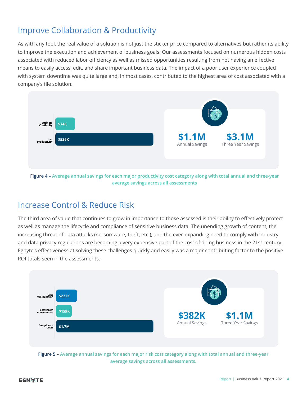# Improve Collaboration & Productivity

As with any tool, the real value of a solution is not just the sticker price compared to alternatives but rather its ability to improve the execution and achievement of business goals. Our assessments focused on numerous hidden costs associated with reduced labor efficiency as well as missed opportunities resulting from not having an effective means to easily access, edit, and share important business data. The impact of a poor user experience coupled with system downtime was quite large and, in most cases, contributed to the highest area of cost associated with a company's file solution.



**Figure 4 – Average annual savings for each major productivity cost category along with total annual and three-year average savings across all assessments**

## Increase Control & Reduce Risk

The third area of value that continues to grow in importance to those assessed is their ability to effectively protect as well as manage the lifecycle and compliance of sensitive business data. The unending growth of content, the increasing threat of data attacks (ransomware, theft, etc.), and the ever-expanding need to comply with industry and data privacy regulations are becoming a very expensive part of the cost of doing business in the 21st century. Egnyte's effectiveness at solving these challenges quickly and easily was a major contributing factor to the positive ROI totals seen in the assessments.



**average savings across all assessments.**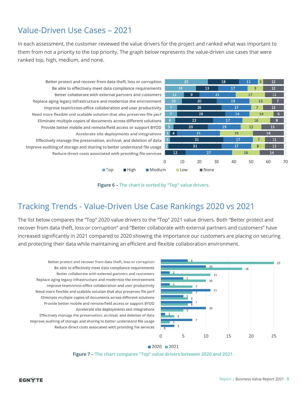# Value-Driven Use Cases – 2021

In each assessment, the customer reviewed the value drivers for the project and ranked what was important to them from not a priority to the top priority. The graph below represents the value-driven use cases that were ranked top, high, medium, and none.

Better protect and recover from data theft, loss or corruption Be able to effectively meet data compliance requirements Better collaborate with external partners and customers Replace aging legacy infrastructure and modernize the environment Improve team/cross-office collaboration and user productivity Need more flexible and scalable solution that also preserves file perf Eliminate multiple copies of documents across different solutions Provide better mobile and remote/field access or support BYOD Accelerate site deployments and integrations Effectively manage the preservation, archival, and deletion of data Improve auditing of storage and sharing to better understand file usage Reduce direct costs associated with providing file services

 $\blacksquare$  Top





## Tracking Trends - Value-Driven Use Case Rankings 2020 vs 2021

**■** High

The list below compares the "Top" 2020 value drivers to the "Top" 2021 value drivers. Both "Better protect and recover from data theft, loss or corruption" and "Better collaborate with external partners and customers" have increased significantly in 2021 compared to 2020 showing the importance our customers are placing on securing and protecting their data while maintaining an efficient and flexible collaboration environment.



Better collaborate with external partners and customers Replace aging legacy infrastructure and modernize the environment Improve team/cross-office collaboration and user productivity Need more flexible and scalable solution that also preserves file perf Eliminate multiple copies of documents across different solutions Provide better mobile and remote/field access or support BYOD Accelerate site deployments and integrations Effectively manage the preservation, archival, and deletion of data Improve auditing of storage and sharing to better understand file usage Reduce direct costs associated with providing file services

Better protect and recover from data theft, loss or corruption

Be able to effectively meet data compliance requirements

2020 2021 **Figure 7 – The chart compares "Top" value drivers between 2020 and 2021.**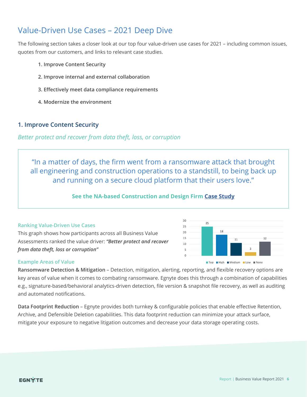# Value-Driven Use Cases – 2021 Deep Dive

The following section takes a closer look at our top four value-driven use cases for 2021 – including common issues, quotes from our customers, and links to relevant case studies.

- **1. Improve Content Security**
- **2. Improve internal and external collaboration**
- **3. Effectively meet data compliance requirements**
- **4. Modernize the environment**

## **1. Improve Content Security**

## *Better protect and recover from data theft, loss, or corruption*

"In a matter of days, the firm went from a ransomware attack that brought all engineering and construction operations to a standstill, to being back up and running on a secure cloud platform that their users love."

### **See the NA-based Construction and Design Firm [Case Study](https://www.egnyte.com/customers/aec-case-study)**

#### **Ranking Value-Driven Use Cases**

This graph shows how participants across all Business Value Assessments ranked the value driver: *"Better protect and recover from data theft, loss or corruption"*



#### **Example Areas of Value**

**Ransomware Detection & Mitigation** – Detection, mitigation, alerting, reporting, and flexible recovery options are key areas of value when it comes to combating ransomware. Egnyte does this through a combination of capabilities e.g., signature-based/behavioral analytics-driven detection, file version & snapshot file recovery, as well as auditing and automated notifications.

**Data Footprint Reduction** – Egnyte provides both turnkey & configurable policies that enable effective Retention, Archive, and Defensible Deletion capabilities. This data footprint reduction can minimize your attack surface, mitigate your exposure to negative litigation outcomes and decrease your data storage operating costs.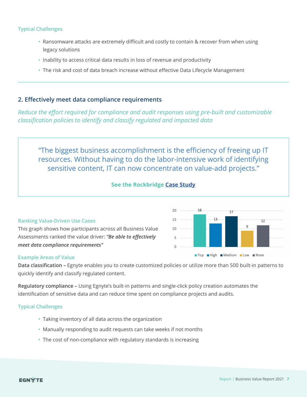#### **Typical Challenges**

- Ransomware attacks are extremely difficult and costly to contain & recover from when using legacy solutions
- Inability to access critical data results in loss of revenue and productivity
- The risk and cost of data breach increase without effective Data Lifecycle Management

## **2. Effectively meet data compliance requirements**

This graph shows how participants across all Business Value Assessments ranked the value driver: *"Be able to effectively* 

*Reduce the effort required for compliance and audit responses using pre-built and customizable classification policies to identify and classify regulated and impacted data*

"The biggest business accomplishment is the efficiency of freeing up IT resources. Without having to do the labor-intensive work of identifying sensitive content, IT can now concentrate on value-add projects."

## **See the Rockbridge [Case Study](https://www.egnyte.com/customers/rockbridge-case-study)**

20



18

#### *meet data compliance requirements"*

**Ranking Value-Driven Use Cases**

#### **Example Areas of Value**

**Data classification –** Egnyte enables you to create customized policies or utilize more than 500 built-in patterns to quickly identify and classify regulated content.

**Regulatory compliance –** Using Egnyte's built-in patterns and single-click policy creation automates the identification of sensitive data and can reduce time spent on compliance projects and audits.

#### **Typical Challenges**

- Taking inventory of all data across the organization
- Manually responding to audit requests can take weeks if not months
- The cost of non-compliance with regulatory standards is increasing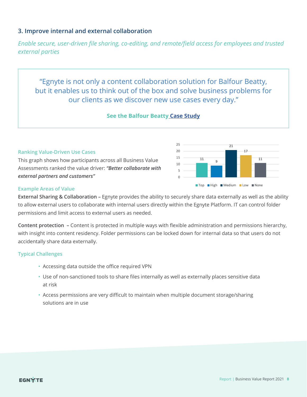## **3. Improve internal and external collaboration**

*Enable secure, user-driven file sharing, co-editing, and remote/field access for employees and trusted external parties*

"Egnyte is not only a content collaboration solution for Balfour Beatty, but it enables us to think out of the box and solve business problems for our clients as we discover new use cases every day."

#### **See the Balfour Beatty [Case Study](https://www.egnyte.com/customers/balfour-beatty-construction-case-study)**

#### **Ranking Value-Driven Use Cases**

This graph shows how participants across all Business Value Assessments ranked the value driver: *"Better collaborate with external partners and customers"* 



#### **Example Areas of Value**

**External Sharing & Collaboration –** Egnyte provides the ability to securely share data externally as well as the ability to allow external users to collaborate with internal users directly within the Egnyte Platform. IT can control folder permissions and limit access to external users as needed.

**Content protection –** Content is protected in multiple ways with flexible administration and permissions hierarchy, with insight into content residency. Folder permissions can be locked down for internal data so that users do not accidentally share data externally.

#### **Typical Challenges**

- Accessing data outside the office required VPN
- Use of non-sanctioned tools to share files internally as well as externally places sensitive data at risk
- Access permissions are very difficult to maintain when multiple document storage/sharing solutions are in use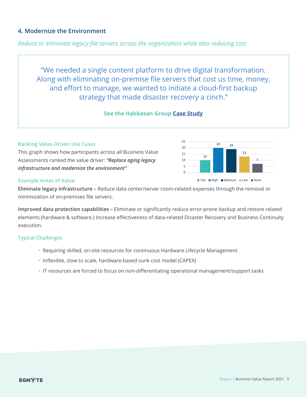## **4. Modernize the Environment**

*Reduce or eliminate legacy file servers across the organization while also reducing cost*

"We needed a single content platform to drive digital transformation. Along with eliminating on-premise file servers that cost us time, money, and effort to manage, we wanted to initiate a cloud-first backup strategy that made disaster recovery a cinch."

#### **See the Hakkasan Group [Case Study](https://www.egnyte.com/customers/hakkasangroup-case-study)**

#### **Ranking Value-Driven Use Cases**

This graph shows how participants across all Business Value Assessments ranked the value driver: *"Replace aging legacy infrastructure and modernize the environment"* 



#### **Example Areas of Value**

**Eliminate legacy infrastructure –** Reduce data center/server room-related expenses through the removal or minimization of on-premises file servers.

**Improved data protection capabilities –** Eliminate or significantly reduce error-prone backup and restore related elements (hardware & software.) Increase effectiveness of data-related Disaster Recovery and Business Continuity execution.

#### **Typical Challenges**

- Requiring skilled, on-site resources for continuous Hardware Lifecycle Management
- Inflexible, slow to scale, hardware-based sunk cost model (CAPEX)
- IT resources are forced to focus on non-differentiating operational management/support tasks